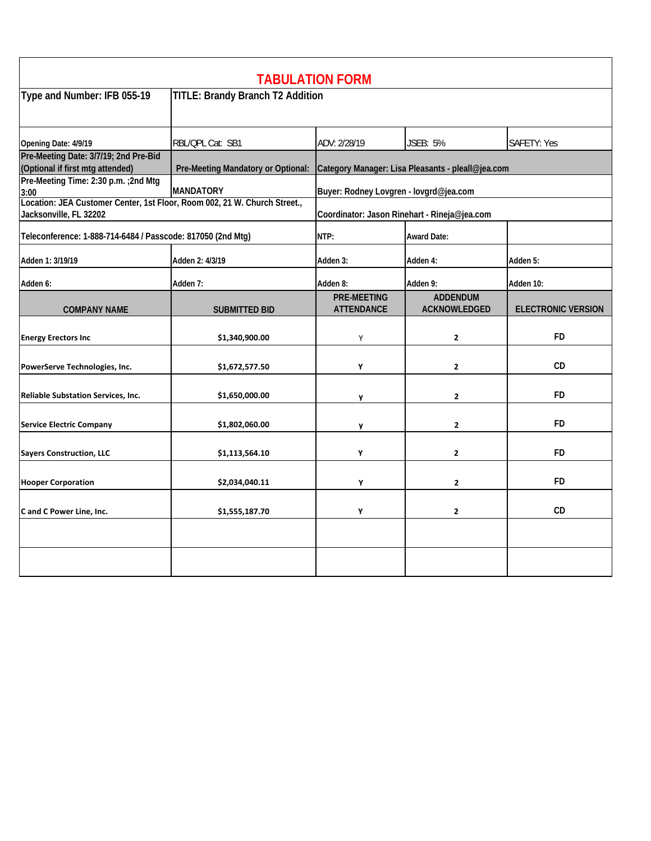|                                                                                                     |                                    | <b>TABULATION FORM</b>                            |                                 |                           |  |
|-----------------------------------------------------------------------------------------------------|------------------------------------|---------------------------------------------------|---------------------------------|---------------------------|--|
| Type and Number: IFB 055-19                                                                         | TITLE: Brandy Branch T2 Addition   |                                                   |                                 |                           |  |
| Opening Date: 4/9/19                                                                                | RBL/QPL Cat: SB1                   | ADV: 2/28/19                                      | <b>JSEB: 5%</b>                 | SAFETY: Yes               |  |
| Pre-Meeting Date: 3/7/19; 2nd Pre-Bid<br>(Optional if first mtg attended)                           | Pre-Meeting Mandatory or Optional: | Category Manager: Lisa Pleasants - pleall@jea.com |                                 |                           |  |
| Pre-Meeting Time: 2:30 p.m. ; 2nd Mtg<br>3:00                                                       | <b>MANDATORY</b>                   | Buyer: Rodney Lovgren - lovgrd@jea.com            |                                 |                           |  |
| Location: JEA Customer Center, 1st Floor, Room 002, 21 W. Church Street.,<br>Jacksonville, FL 32202 |                                    | Coordinator: Jason Rinehart - Rineja@jea.com      |                                 |                           |  |
| Teleconference: 1-888-714-6484 / Passcode: 817050 (2nd Mtg)                                         |                                    | NTP:                                              | <b>Award Date:</b>              |                           |  |
| Adden 1: 3/19/19                                                                                    | Adden 2: 4/3/19                    | Adden 3:                                          | Adden 4:                        | Adden 5:                  |  |
| Adden 6:                                                                                            | Adden 7:                           | Adden 8:                                          | Adden 9:                        | Adden 10:                 |  |
| <b>COMPANY NAME</b>                                                                                 | <b>SUBMITTED BID</b>               | <b>PRE-MEETING</b><br><b>ATTENDANCE</b>           | <b>ADDENDUM</b><br>ACKNOWLEDGED | <b>ELECTRONIC VERSION</b> |  |
| <b>Energy Erectors Inc</b>                                                                          | \$1,340,900.00                     | Y                                                 | $\mathbf{2}$                    | <b>FD</b>                 |  |
| PowerServe Technologies, Inc.                                                                       | \$1,672,577.50                     | Υ                                                 | $\mathbf{2}$                    | CD                        |  |
| <b>Reliable Substation Services, Inc.</b>                                                           | \$1,650,000.00                     | y                                                 | $\mathbf{2}$                    | <b>FD</b>                 |  |
| <b>Service Electric Company</b>                                                                     | \$1,802,060.00                     | y                                                 | $\mathbf{2}$                    | <b>FD</b>                 |  |
| <b>Sayers Construction, LLC</b>                                                                     | \$1,113,564.10                     | Y                                                 | $\overline{2}$                  | FD                        |  |
| <b>Hooper Corporation</b>                                                                           | \$2,034,040.11                     | Υ                                                 | $\mathbf{2}$                    | <b>FD</b>                 |  |
| C and C Power Line, Inc.                                                                            | \$1,555,187.70                     | Y                                                 | $\mathbf{2}$                    | CD                        |  |
|                                                                                                     |                                    |                                                   |                                 |                           |  |
|                                                                                                     |                                    |                                                   |                                 |                           |  |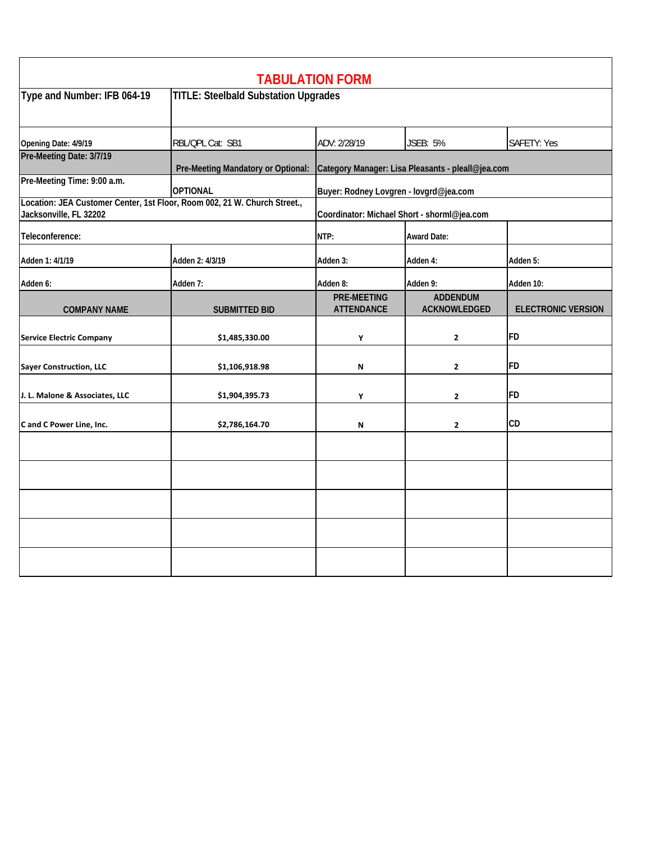| <b>TABULATION FORM</b>                                                                              |                                             |                                                   |                                 |                           |  |  |
|-----------------------------------------------------------------------------------------------------|---------------------------------------------|---------------------------------------------------|---------------------------------|---------------------------|--|--|
| Type and Number: IFB 064-19                                                                         | <b>TITLE: Steelbald Substation Upgrades</b> |                                                   |                                 |                           |  |  |
| Opening Date: 4/9/19                                                                                | RBL/QPL Cat: SB1                            | ADV: 2/28/19                                      | <b>JSEB: 5%</b>                 | <b>SAFETY: Yes</b>        |  |  |
| Pre-Meeting Date: 3/7/19                                                                            | Pre-Meeting Mandatory or Optional:          | Category Manager: Lisa Pleasants - pleall@jea.com |                                 |                           |  |  |
| Pre-Meeting Time: 9:00 a.m.                                                                         | <b>OPTIONAL</b>                             | Buyer: Rodney Lovgren - lovgrd@jea.com            |                                 |                           |  |  |
| Location: JEA Customer Center, 1st Floor, Room 002, 21 W. Church Street.,<br>Jacksonville, FL 32202 |                                             | Coordinator: Michael Short - shorml@jea.com       |                                 |                           |  |  |
| Teleconference:                                                                                     |                                             | NTP:                                              | <b>Award Date:</b>              |                           |  |  |
| Adden 1: 4/1/19                                                                                     | Adden 2: 4/3/19                             | Adden 3:                                          | Adden 4:                        | Adden 5:                  |  |  |
| Adden 6:                                                                                            | Adden 7:                                    | Adden 8:                                          | Adden 9:                        | Adden 10:                 |  |  |
| <b>COMPANY NAME</b>                                                                                 | <b>SUBMITTED BID</b>                        | <b>PRE-MEETING</b><br><b>ATTENDANCE</b>           | <b>ADDENDUM</b><br>ACKNOWLEDGED | <b>ELECTRONIC VERSION</b> |  |  |
| <b>Service Electric Company</b>                                                                     | \$1,485,330.00                              | Υ                                                 | $\mathbf{2}$                    | <b>FD</b>                 |  |  |
| Sayer Construction, LLC                                                                             | \$1,106,918.98                              | N                                                 | $\mathbf{2}$                    | <b>FD</b>                 |  |  |
| J. L. Malone & Associates, LLC                                                                      | \$1,904,395.73                              | Υ                                                 | $\mathbf{2}$                    | <b>FD</b>                 |  |  |
| C and C Power Line, Inc.                                                                            | \$2,786,164.70                              | N                                                 | $\mathbf{2}$                    | <b>CD</b>                 |  |  |
|                                                                                                     |                                             |                                                   |                                 |                           |  |  |
|                                                                                                     |                                             |                                                   |                                 |                           |  |  |
|                                                                                                     |                                             |                                                   |                                 |                           |  |  |
|                                                                                                     |                                             |                                                   |                                 |                           |  |  |
|                                                                                                     |                                             |                                                   |                                 |                           |  |  |